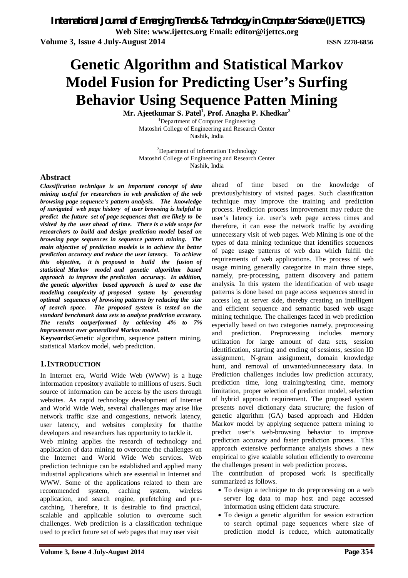# **Genetic Algorithm and Statistical Markov Model Fusion for Predicting User's Surfing Behavior Using Sequence Patten Mining**

**Mr. Ajeetkumar S. Patel<sup>1</sup> , Prof. Anagha P. Khedkar<sup>2</sup>** <sup>1</sup>Department of Computer Engineering

Matoshri College of Engineering and Research Center Nashik, India

<sup>2</sup>Department of Information Technology Matoshri College of Engineering and Research Center Nashik, India

#### **Abstract**

*Classification technique is an important concept of data mining useful for researchers in web prediction of the web browsing page sequence's pattern analysis. The knowledge of navigated web page history of user browsing is helpful to predict the future set of page sequences that are likely to be visited by the user ahead of time. There is a wide scope for researchers to build and design prediction model based on browsing page sequences in sequence pattern mining. The main objective of prediction models is to achieve the better prediction accuracy and reduce the user latency. To achieve this objective, it is proposed to build the fusion of statistical Markov model and genetic algorithm based approach to improve the prediction accuracy. In addition, the genetic algorithm based approach is used to ease the modeling complexity of proposed system by generating optimal sequences of browsing patterns by reducing the size of search space. The proposed system is tested on the standard benchmark data sets to analyze prediction accuracy. The results outperformed by achieving 4% to 7% improvement over generalized Markov model.*

**Keywords:**Genetic algorithm, sequence pattern mining, statistical Markov model, web prediction.

#### **1.INTRODUCTION**

In Internet era, World Wide Web (WWW) is a huge information repository available to millions of users. Such source of information can be access by the users through websites. As rapid technology development of Internet and World Wide Web, several challenges may arise like network traffic size and congestions, network latency, user latency, and websites complexity for thatthe developers and researchers has opportunity to tackle it.

Web mining applies the research of technology and application of data mining to overcome the challenges on the Internet and World Wide Web services. Web prediction technique can be established and applied many industrial applications which are essential in Internet and WWW. Some of the applications related to them are recommended system, caching system, wireless application, and search engine, prefetching and precatching. Therefore, it is desirable to find practical, scalable and applicable solution to overcome such challenges. Web prediction is a classification technique used to predict future set of web pages that may user visit

ahead of time based on the knowledge of previously/history of visited pages. Such classification technique may improve the training and prediction process. Prediction process improvement may reduce the user's latency i.e. user's web page access times and therefore, it can ease the network traffic by avoiding unnecessary visit of web pages. Web Mining is one of the types of data mining technique that identifies sequences of page usage patterns of web data which fulfill the requirements of web applications. The process of web usage mining generally categorize in main three steps, namely, pre-processing, pattern discovery and pattern analysis. In this system the identification of web usage patterns is done based on page access sequences stored in access log at server side, thereby creating an intelligent and efficient sequence and semantic based web usage mining technique. The challenges faced in web prediction especially based on two categories namely, preprocessing and prediction. Preprocessing includes memory utilization for large amount of data sets, session identification, starting and ending of sessions, session ID assignment, N-gram assignment, domain knowledge hunt, and removal of unwanted/unnecessary data. In Prediction challenges includes low prediction accuracy, prediction time, long training/testing time, memory limitation, proper selection of prediction model, selection of hybrid approach requirement. The proposed system presents novel dictionary data structure; the fusion of genetic algorithm (GA) based approach and Hidden Markov model by applying sequence pattern mining to predict user's web-browsing behavior to improve prediction accuracy and faster prediction process. This approach extensive performance analysis shows a new empirical to give scalable solution efficiently to overcome the challenges present in web prediction process.

The contribution of proposed work is specifically summarized as follows.

- To design a technique to do preprocessing on a web server log data to map host and page accessed information using efficient data structure.
- To design a genetic algorithm for session extraction to search optimal page sequences where size of prediction model is reduce, which automatically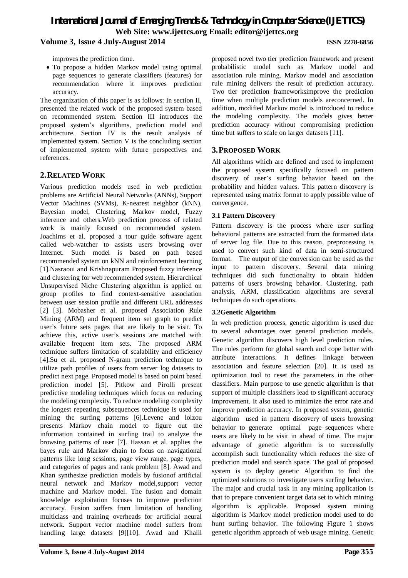### *International Journal of Emerging Trends & Technology in Computer Science (IJETTCS)* **Web Site: www.ijettcs.org Email: editor@ijettcs.org Volume 3, Issue 4 July-August 2014 ISSN 2278-6856**

improves the prediction time.

 To propose a hidden Markov model using optimal page sequences to generate classifiers (features) for recommendation where it improves prediction accuracy.

The organization of this paper is as follows: In section II, presented the related work of the proposed system based on recommended system. Section III introduces the proposed system's algorithms, prediction model and architecture. Section IV is the result analysis of implemented system. Section V is the concluding section of implemented system with future perspectives and references.

#### **2.RELATED WORK**

Various prediction models used in web prediction problems are Artificial Neural Networks (ANNs), Support Vector Machines (SVMs), K-nearest neighbor (kNN), Bayesian model, Clustering, Markov model, Fuzzy inference and others.Web prediction process of related work is mainly focused on recommended system. Joachims et al. proposed a tour guide software agent called web-watcher to assists users browsing over Internet. Such model is based on path based recommended system on kNN and reinforcement learning [1].Nasraoui and Krishnapuram Proposed fuzzy inference and clustering for web recommended system. Hierarchical Unsupervised Niche Clustering algorithm is applied on group profiles to find context-sensitive association between user session profile and different URL addresses [2] [3]. Mobasher et al. proposed Association Rule Mining (ARM) and frequent item set graph to predict user's future sets pages that are likely to be visit. To achieve this, active user's sessions are matched with available frequent item sets. The proposed ARM technique suffers limitation of scalability and efficiency [4].Su et al. proposed N-gram prediction technique to utilize path profiles of users from server log datasets to predict next page. Proposed model is based on point based prediction model [5]. Pitkow and Pirolli present predictive modeling techniques which focus on reducing the modeling complexity. To reduce modeling complexity the longest repeating subsequences technique is used for mining the surfing patterns [6].Levene and loizou presents Markov chain model to figure out the information contained in surfing trail to analyze the browsing patterns of user [7]. Hassan et al. applies the bayes rule and Markov chain to focus on navigational patterns like long sessions, page view range, page types, and categories of pages and rank problem [8]. Awad and Khan synthesize prediction models by fusionof artificial neural network and Markov model,support vector machine and Markov model. The fusion and domain knowledge exploitation focuses to improve prediction accuracy. Fusion suffers from limitation of handling multiclass and training overheads for artificial neural network. Support vector machine model suffers from handling large datasets [9][10]. Awad and Khalil proposed novel two tier prediction framework and present probabilistic model such as Markov model and association rule mining. Markov model and association rule mining delivers the result of prediction accuracy. Two tier prediction frameworksimprove the prediction time when multiple prediction models areconcerned. In addition, modified Markov model is introduced to reduce the modeling complexity. The models gives better prediction accuracy without compromising prediction time but suffers to scale on larger datasets [11].

#### **3.PROPOSED WORK**

All algorithms which are defined and used to implement the proposed system specifically focused on pattern discovery of user's surfing behavior based on the probability and hidden values. This pattern discovery is represented using matrix format to apply possible value of convergence.

#### **3.1 Pattern Discovery**

Pattern discovery is the process where user surfing behavioral patterns are extracted from the formatted data of server log file. Due to this reason, preprocessing is used to convert such kind of data in semi-structured format. The output of the conversion can be used as the input to pattern discovery. Several data mining techniques did such functionality to obtain hidden patterns of users browsing behavior. Clustering, path analysis, ARM, classification algorithms are several techniques do such operations.

#### **3.2Genetic Algorithm**

In web prediction process, genetic algorithm is used due to several advantages over general prediction models. Genetic algorithm discovers high level prediction rules. The rules perform for global search and cope better with attribute interactions. It defines linkage between association and feature selection [20]. It is used as optimization tool to reset the parameters in the other classifiers. Main purpose to use genetic algorithm is that support of multiple classifiers lead to significant accuracy improvement. It also used to minimize the error rate and improve prediction accuracy. In proposed system, genetic algorithm used in pattern discovery of users browsing behavior to generate optimal page sequences where users are likely to be visit in ahead of time. The major advantage of genetic algorithm is to successfully accomplish such functionality which reduces the size of prediction model and search space. The goal of proposed system is to deploy genetic Algorithm to find the optimized solutions to investigate users surfing behavior. The major and crucial task in any mining application is that to prepare convenient target data set to which mining algorithm is applicable. Proposed system mining algorithm is Markov model prediction model used to do hunt surfing behavior. The following Figure 1 shows genetic algorithm approach of web usage mining. Genetic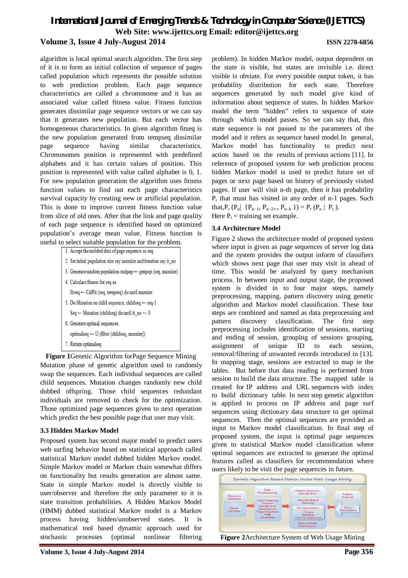### *International Journal of Emerging Trends & Technology in Computer Science (IJETTCS)* **Web Site: www.ijettcs.org Email: editor@ijettcs.org Volume 3, Issue 4 July-August 2014 ISSN 2278-6856**

algorithm is local optimal search algorithm. The first step of it is to form an initial collection of sequence of pages called population which represents the possible solution to web prediction problem. Each page sequence characteristics are called a chromosome and it has an associated value called fitness value. Fitness function generates dissimilar page sequence vectors or we can say that it generates new population. But each vector has homogeneous characteristics. In given algorithm fitseq is the new population generated from tempseq dissimilar page sequence having similar characteristics. Chromosomes position is represented with predefined alphabets and it has certain values of position. This position is represented with value called alphabet is 0, 1. For new population generation the algorithm uses fitness function values to find out each page characteristics survival capacity by creating new or artificial population. This is done to improve current fitness function value from slice of old ones. After that the link and page quality of each page sequence is identified based on optimized population's average mean value. Fitness function is useful to select suitable population for the problem.



**Figure 1**Genetic Algorithm forPage Sequence Mining Mutation phase of genetic algorithm used to randomly swap the sequences. Each individual sequences are called child sequences. Mutation changes randomly new child dubbed offspring. Those child sequences redundant individuals are removed to check for the optimization. Those optimized page sequences given to next operation which predict the best possible page that user may visit.

#### **3.3 Hidden Markov Model**

Proposed system has second major model to predict users web surfing behavior based on statistical approach called statistical Markov model dubbed hidden Markov model. Simple Markov model or Markov chain somewhat differs on functionality but results generation are almost same. State in simple Markov model is directly visible to user/observer and therefore the only parameter to it is state transition probabilities. A Hidden Markov Model (HMM) dubbed statistical Markov model is a Markov process having hidden/unobserved states. It is mathematical tool based dynamic approach used for stochastic processes (optimal nonlinear filtering

problem). In hidden Markov model, output dependent on the state is visible, but states are invisible i.e. direct visible is obviate. For every possible output token, it has probability distribution for each state. Therefore sequences generated by such model give kind of information about sequence of states. In hidden Markov model the term "hidden" refers to sequence of state through which model passes. So we can say that, this state sequence is not passed to the parameters of the model and it refers as sequence based model.In general, Markov model has functionality to predict next action based on the results of previous actions [11]. In reference of proposed system for web prediction process hidden Markov model is used to predict future set of pages or next page based on history of previously visited pages. If user will visit n-th page, then it has probability Pr that must has visited in any order of n-1 pages. Such that, $P_r$  ( $P_n$ | { $P_{n-1}$ ,  $P_{n-2}$ ,.,  $P_{n-k}$ }) =  $P_r$  ( $P_n$ |  $P_t$ ).

Here  $P_t$  = training set example.

#### **3.4 Architecture Model**

Figure 2 shows the architecture model of proposed system where input is given as page sequences of server log data and the system provides the output inform of classifiers which shows next page that user may visit in ahead of time. This would be analyzed by query mechanism process. In between input and output stage, the proposed system is divided in to four major steps, namely preprocessing, mapping, pattern discovery using genetic algorithm and Markov model classification. These four steps are combined and named as data preprocessing and pattern discovery classification. The first step preprocessing includes identification of sessions, starting and ending of session, grouping of sessions grouping, assignment of unique ID to each session, removal/filtering of unwanted records introduced in [13]. In mapping stage, sessions are extracted to map in the tables. But before that data reading is performed from session to build the data structure. The mapped table is created for IP address and URL sequences with index to build dictionary table. In next step genetic algorithm is applied to process on IP address and page surf sequences using dictionary data structure to get optimal sequences. Then the optimal sequences are provided as input to Markov model classification. In final step of proposed system, the input is optimal page sequences given to statistical Markov model classification where optimal sequences are extracted to generate the optimal features called as classifiers for recommendation where users likely to be visit the page sequences in future.



**Figure 2**Architecture System of Web Usage Mining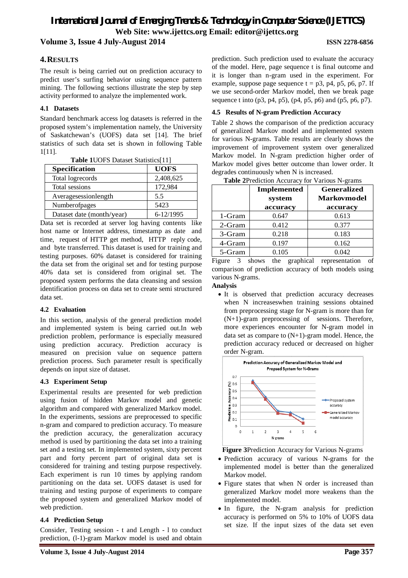# *International Journal of Emerging Trends & Technology in Computer Science (IJETTCS)* **Web Site: www.ijettcs.org Email: editor@ijettcs.org**

**Volume 3, Issue 4 July-August 2014 ISSN 2278-6856**

#### **4.RESULTS**

The result is being carried out on prediction accuracy to predict user's surfing behavior using sequence pattern mining. The following sections illustrate the step by step activity performed to analyze the implemented work.

#### **4.1 Datasets**

Standard benchmark access log datasets is referred in the proposed system's implementation namely, the University of Saskatchewan's (UOFS) data set [14]. The brief statistics of such data set is shown in following Table 1[11].

| <b>Table TUOFS Dataset Statistics</b> [TI] |             |  |
|--------------------------------------------|-------------|--|
| <b>Specification</b>                       | <b>UOFS</b> |  |
| Total logrecords                           | 2,408,625   |  |
| Total sessions                             | 172,984     |  |
| Averagesessionlength                       | 5.5         |  |
| Numberofpages                              | 5423        |  |
| Dataset date (month/year)                  | 6-12/1995   |  |

**Table 1**UOFS Dataset Statistics[11]

Data set is recorded at server log having contents like host name or Internet address, timestamp as date and time, request of HTTP get method, HTTP reply code, and byte transferred. This dataset is used for training and testing purposes. 60% dataset is considered for training the data set from the original set and for testing purpose 40% data set is considered from original set. The proposed system performs the data cleansing and session identification process on data set to create semi structured data set.

#### **4.2 Evaluation**

In this section, analysis of the general prediction model and implemented system is being carried out.In web prediction problem, performance is especially measured using prediction accuracy. Prediction accuracy is measured on precision value on sequence pattern prediction process. Such parameter result is specifically depends on input size of dataset.

#### **4.3 Experiment Setup**

Experimental results are presented for web prediction using fusion of hidden Markov model and genetic algorithm and compared with generalized Markov model. In the experiments, sessions are preprocessed to specific n-gram and compared to prediction accuracy. To measure the prediction accuracy, the generalization accuracy method is used by partitioning the data set into a training set and a testing set. In implemented system, sixty percent part and forty percent part of original data set is considered for training and testing purpose respectively. Each experiment is run 10 times by applying random partitioning on the data set. UOFS dataset is used for training and testing purpose of experiments to compare the proposed system and generalized Markov model of web prediction.

#### **4.4 Prediction Setup**

Consider, Testing session - t and Length - l to conduct prediction, (l-1)-gram Markov model is used and obtain

prediction. Such prediction used to evaluate the accuracy of the model. Here, page sequence t is final outcome and it is longer than n-gram used in the experiment. For example, suppose page sequence  $t = p3$ , p4, p5, p6, p7. If we use second-order Markov model, then we break page sequence t into (p3, p4, p5), (p4, p5, p6) and (p5, p6, p7).

#### **4.5 Results of N-gram Prediction Accuracy**

Table 2 shows the comparison of the prediction accuracy of generalized Markov model and implemented system for various N-grams. Table results are clearly shows the improvement of improvement system over generalized Markov model. In N-gram prediction higher order of Markov model gives better outcome than lower order. It degrades continuously when N is increased.

|           | <b>Implemented</b><br>system<br>accuracv | <b>Generalized</b><br><b>Markovmodel</b><br>accuracy |
|-----------|------------------------------------------|------------------------------------------------------|
| 1-Gram    | 0.647                                    | 0.613                                                |
| $2$ -Gram | 0.412                                    | 0.377                                                |
| 3-Gram    | 0.218                                    | 0.183                                                |
| 4-Gram    | 0.197                                    | 0.162                                                |
| 5-Gram    | 0.105                                    | 0.042                                                |

**Table 2**Prediction Accuracy for Various N-grams

Figure 3 shows the graphical representation of comparison of prediction accuracy of both models using various N-grams.

#### **Analysis**

 It is observed that prediction accuracy decreases when N increaseswhen training sessions obtained from preprocessing stage for N-gram is more than for (N+1)-gram preprocessing of sessions. Therefore, more experiences encounter for N-gram model in data set as compare to (N+1)-gram model. Hence, the prediction accuracy reduced or decreased on higher order N-gram.



**Figure 3**Prediction Accuracy for Various N-grams

- Prediction accuracy of various N-grams for the implemented model is better than the generalized Markov model.
- Figure states that when N order is increased than generalized Markov model more weakens than the implemented model.
- In figure, the N-gram analysis for prediction accuracy is performed on 5% to 10% of UOFS data set size. If the input sizes of the data set even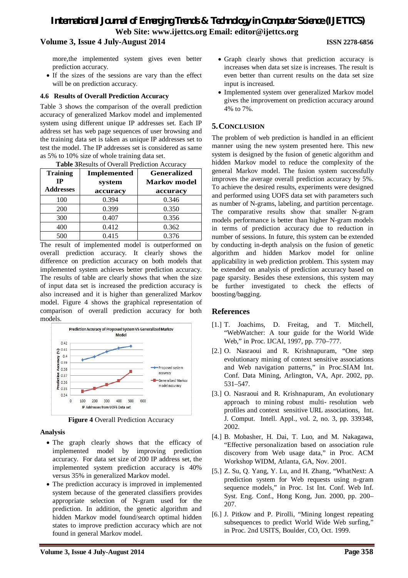### *International Journal of Emerging Trends & Technology in Computer Science (IJETTCS)* **Web Site: www.ijettcs.org Email: editor@ijettcs.org Volume 3, Issue 4 July-August 2014 ISSN 2278-6856**

more,the implemented system gives even better prediction accuracy.

 If the sizes of the sessions are vary than the effect will be on prediction accuracy.

#### **4.6 Results of Overall Prediction Accuracy**

Table 3 shows the comparison of the overall prediction accuracy of generalized Markov model and implemented system using different unique IP addresses set. Each IP address set has web page sequences of user browsing and the training data set is taken as unique IP addresses set to test the model. The IP addresses set is considered as same as 5% to 10% size of whole training data set.<br>  $\sum_{n=1}^{\infty}$   $\sum_{n=1}^{\infty}$   $\sum_{n=1}^{\infty}$   $\sum_{n=1}^{\infty}$   $\sum_{n=1}^{\infty}$   $\sum_{n=1}^{\infty}$   $\sum_{n=1}^{\infty}$   $\sum_{n=1}^{\infty}$   $\sum_{n=1}^{\infty}$   $\sum_{n=1}^{\infty}$   $\sum_{n=1}^{\infty}$   $\sum_{n=1}^$ 

| <b>Table 3 Results of Overall Prediction Accuracy</b> |                    |                     |
|-------------------------------------------------------|--------------------|---------------------|
| <b>Training</b>                                       | <b>Implemented</b> | <b>Generalized</b>  |
| IP                                                    | system             | <b>Markov</b> model |
| <b>Addresses</b>                                      | accuracy           | accuracy            |
| 100                                                   | 0.394              | 0.346               |
| 200                                                   | 0.399              | 0.350               |
| 300                                                   | 0.407              | 0.356               |
| 400                                                   | 0.412              | 0.362               |
| 500                                                   | 0.415              | 0.376               |

**Table 3**Results of Overall Prediction Accuracy

The result of implemented model is outperformed on overall prediction accuracy. It clearly shows the difference on prediction accuracy on both models that implemented system achieves better prediction accuracy. The results of table are clearly shows that when the size of input data set is increased the prediction accuracy is also increased and it is higher than generalized Markov model. Figure 4 shows the graphical representation of comparison of overall prediction accuracy for both models.



**Figure 4** Overall Prediction Accuracy

#### **Analysis**

- The graph clearly shows that the efficacy of implemented model by improving prediction accuracy. For data set size of 200 IP address set, the implemented system prediction accuracy is 40% versus 35% in generalized Markov model.
- The prediction accuracy is improved in implemented system because of the generated classifiers provides appropriate selection of N-gram used for the prediction. In addition, the genetic algorithm and hidden Markov model found/search optimal hidden states to improve prediction accuracy which are not found in general Markov model.
- Graph clearly shows that prediction accuracy is increases when data set size is increases. The result is even better than current results on the data set size input is increased.
- Implemented system over generalized Markov model gives the improvement on prediction accuracy around 4% to 7%.

#### **5.CONCLUSION**

The problem of web prediction is handled in an efficient manner using the new system presented here. This new system is designed by the fusion of genetic algorithm and hidden Markov model to reduce the complexity of the general Markov model. The fusion system successfully improves the average overall prediction accuracy by 5%. To achieve the desired results, experiments were designed and performed using UOFS data set with parameters such as number of N-grams, labeling, and partition percentage. The comparative results show that smaller N-gram models performance is better than higher N-gram models in terms of prediction accuracy due to reduction in number of sessions. In future, this system can be extended by conducting in-depth analysis on the fusion of genetic algorithm and hidden Markov model for online applicability in web prediction problem. This system may be extended on analysis of prediction accuracy based on page sparsity. Besides these extensions, this system may be further investigated to check the effects of boosting/bagging.

#### **References**

- [1.] T. Joachims, D. Freitag, and T. Mitchell, "WebWatcher: A tour guide for the World Wide Web," in Proc. IJCAI, 1997, pp. 770–777.
- [2.] O. Nasraoui and R. Krishnapuram, "One step evolutionary mining of context sensitive associations and Web navigation patterns," in Proc.SIAM Int. Conf. Data Mining, Arlington, VA, Apr. 2002, pp. 531–547.
- [3.] O. Nasraoui and R. Krishnapuram, An evolutionary approach to mining robust multi- resolution web profiles and context sensitive URL associations, Int. J. Comput. Intell. Appl., vol. 2, no. 3, pp. 339348, 2002.
- [4.] B. Mobasher, H. Dai, T. Luo, and M. Nakagawa, "Effective personalization based on association rule discovery from Web usage data," in Proc. ACM Workshop WIDM, Atlanta, GA, Nov. 2001.
- [5.] Z. Su, Q. Yang, Y. Lu, and H. Zhang, "WhatNext: A prediction system for Web requests using n-gram sequence models," in Proc. 1st Int. Conf. Web Inf. Syst. Eng. Conf., Hong Kong, Jun. 2000, pp. 200– 207.
- [6.] J. Pitkow and P. Pirolli, "Mining longest repeating subsequences to predict World Wide Web surfing." in Proc. 2nd USITS, Boulder, CO, Oct. 1999.